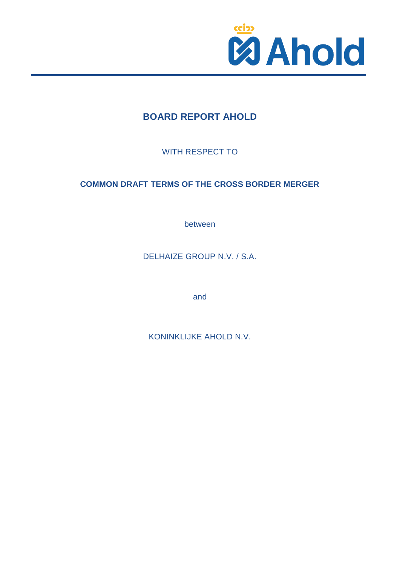

# **BOARD REPORT AHOLD**

WITH RESPECT TO

# **COMMON DRAFT TERMS OF THE CROSS BORDER MERGER**

between

DELHAIZE GROUP N.V. / S.A.

and

KONINKLIJKE AHOLD N.V.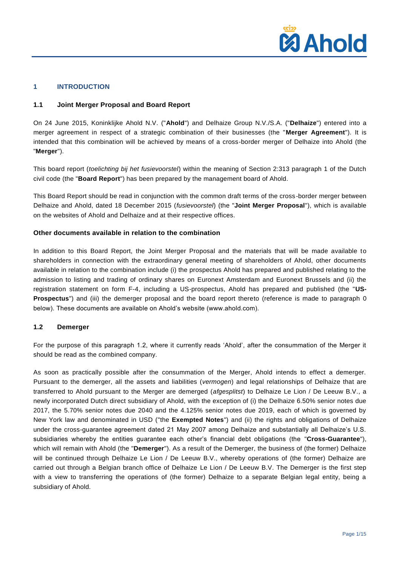

#### **1 INTRODUCTION**

## **1.1 Joint Merger Proposal and Board Report**

On 24 June 2015, Koninklijke Ahold N.V. ("**Ahold**") and Delhaize Group N.V./S.A. ("**Delhaize**") entered into a merger agreement in respect of a strategic combination of their businesses (the "**Merger Agreement**"). It is intended that this combination will be achieved by means of a cross-border merger of Delhaize into Ahold (the "**Merger**").

This board report (*toelichting bij het fusievoorstel*) within the meaning of Section 2:313 paragraph 1 of the Dutch civil code (the "**Board Report**") has been prepared by the management board of Ahold.

This Board Report should be read in conjunction with the common draft terms of the cross-border merger between Delhaize and Ahold, dated 18 December 2015 (*fusievoorstel*) (the "**Joint Merger Proposal**"), which is available on the websites of Ahold and Delhaize and at their respective offices.

## **Other documents available in relation to the combination**

In addition to this Board Report, the Joint Merger Proposal and the materials that will be made available to shareholders in connection with the extraordinary general meeting of shareholders of Ahold, other documents available in relation to the combination include (i) the prospectus Ahold has prepared and published relating to the admission to listing and trading of ordinary shares on Euronext Amsterdam and Euronext Brussels and (ii) the registration statement on form F-4, including a US-prospectus, Ahold has prepared and published (the "**US-Prospectus**") and (iii) the demerger proposal and the board report thereto (reference is made to paragraph [0](#page-1-0) below). These documents are available on Ahold's website (www.ahold.com).

# <span id="page-1-0"></span>**1.2 Demerger**

For the purpose of this paragraph 1.2, where it currently reads 'Ahold', after the consummation of the Merger it should be read as the combined company.

As soon as practically possible after the consummation of the Merger, Ahold intends to effect a demerger. Pursuant to the demerger, all the assets and liabilities (*vermogen*) and legal relationships of Delhaize that are transferred to Ahold pursuant to the Merger are demerged (*afgesplitst*) to Delhaize Le Lion / De Leeuw B.V., a newly incorporated Dutch direct subsidiary of Ahold, with the exception of (i) the Delhaize 6.50% senior notes due 2017, the 5.70% senior notes due 2040 and the 4.125% senior notes due 2019, each of which is governed by New York law and denominated in USD ("the **Exempted Notes**") and (ii) the rights and obligations of Delhaize under the cross-guarantee agreement dated 21 May 2007 among Delhaize and substantially all Delhaize's U.S. subsidiaries whereby the entities guarantee each other's financial debt obligations (the "**Cross-Guarantee**"), which will remain with Ahold (the "**Demerger**"). As a result of the Demerger, the business of (the former) Delhaize will be continued through Delhaize Le Lion / De Leeuw B.V., whereby operations of (the former) Delhaize are carried out through a Belgian branch office of Delhaize Le Lion / De Leeuw B.V. The Demerger is the first step with a view to transferring the operations of (the former) Delhaize to a separate Belgian legal entity, being a subsidiary of Ahold.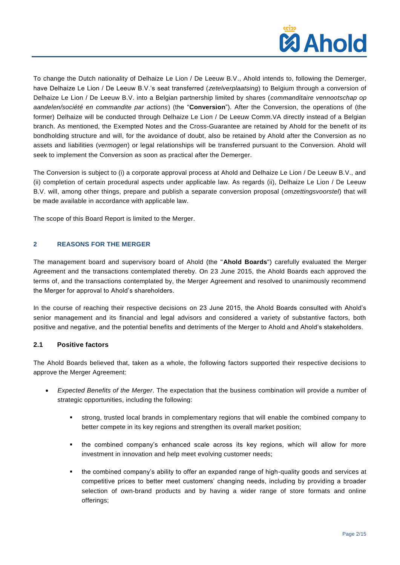

To change the Dutch nationality of Delhaize Le Lion / De Leeuw B.V., Ahold intends to, following the Demerger, have Delhaize Le Lion / De Leeuw B.V.'s seat transferred (*zetelverplaatsing*) to Belgium through a conversion of Delhaize Le Lion / De Leeuw B.V. into a Belgian partnership limited by shares (*commanditaire vennootschap op aandelen/société en commandite par actions*) (the "**Conversion**"). After the Conversion, the operations of (the former) Delhaize will be conducted through Delhaize Le Lion / De Leeuw Comm.VA directly instead of a Belgian branch. As mentioned, the Exempted Notes and the Cross-Guarantee are retained by Ahold for the benefit of its bondholding structure and will, for the avoidance of doubt, also be retained by Ahold after the Conversion as no assets and liabilities (*vermogen*) or legal relationships will be transferred pursuant to the Conversion. Ahold will seek to implement the Conversion as soon as practical after the Demerger.

The Conversion is subject to (i) a corporate approval process at Ahold and Delhaize Le Lion / De Leeuw B.V., and (ii) completion of certain procedural aspects under applicable law. As regards (ii), Delhaize Le Lion / De Leeuw B.V. will, among other things, prepare and publish a separate conversion proposal (*omzettingsvoorstel*) that will be made available in accordance with applicable law.

The scope of this Board Report is limited to the Merger.

## **2 REASONS FOR THE MERGER**

The management board and supervisory board of Ahold (the "**Ahold Boards**") carefully evaluated the Merger Agreement and the transactions contemplated thereby. On 23 June 2015, the Ahold Boards each approved the terms of, and the transactions contemplated by, the Merger Agreement and resolved to unanimously recommend the Merger for approval to Ahold's shareholders.

In the course of reaching their respective decisions on 23 June 2015, the Ahold Boards consulted with Ahold's senior management and its financial and legal advisors and considered a variety of substantive factors, both positive and negative, and the potential benefits and detriments of the Merger to Ahold and Ahold's stakeholders.

## **2.1 Positive factors**

The Ahold Boards believed that, taken as a whole, the following factors supported their respective decisions to approve the Merger Agreement:

- *Expected Benefits of the Merger*. The expectation that the business combination will provide a number of strategic opportunities, including the following:
	- strong, trusted local brands in complementary regions that will enable the combined company to better compete in its key regions and strengthen its overall market position;
	- the combined company's enhanced scale across its key regions, which will allow for more investment in innovation and help meet evolving customer needs;
	- the combined company's ability to offer an expanded range of high-quality goods and services at competitive prices to better meet customers' changing needs, including by providing a broader selection of own-brand products and by having a wider range of store formats and online offerings;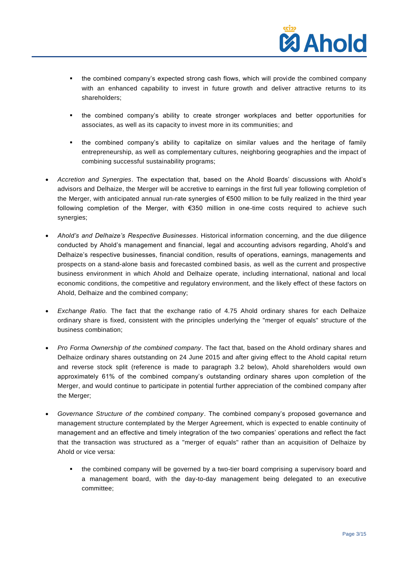

- the combined company's expected strong cash flows, which will provide the combined company with an enhanced capability to invest in future growth and deliver attractive returns to its shareholders;
- the combined company's ability to create stronger workplaces and better opportunities for associates, as well as its capacity to invest more in its communities; and
- the combined company's ability to capitalize on similar values and the heritage of family entrepreneurship, as well as complementary cultures, neighboring geographies and the impact of combining successful sustainability programs;
- *Accretion and Synergies*. The expectation that, based on the Ahold Boards' discussions with Ahold's advisors and Delhaize, the Merger will be accretive to earnings in the first full year following completion of the Merger, with anticipated annual run-rate synergies of €500 million to be fully realized in the third year following completion of the Merger, with €350 million in one-time costs required to achieve such synergies;
- *Ahold's and Delhaize's Respective Businesses*. Historical information concerning, and the due diligence conducted by Ahold's management and financial, legal and accounting advisors regarding, Ahold's and Delhaize's respective businesses, financial condition, results of operations, earnings, managements and prospects on a stand-alone basis and forecasted combined basis, as well as the current and prospective business environment in which Ahold and Delhaize operate, including international, national and local economic conditions, the competitive and regulatory environment, and the likely effect of these factors on Ahold, Delhaize and the combined company;
- *Exchange Ratio.* The fact that the exchange ratio of 4.75 Ahold ordinary shares for each Delhaize ordinary share is fixed, consistent with the principles underlying the "merger of equals" structure of the business combination;
- *Pro Forma Ownership of the combined company*. The fact that, based on the Ahold ordinary shares and Delhaize ordinary shares outstanding on 24 June 2015 and after giving effect to the Ahold capital return and reverse stock split (reference is made to paragraph 3.2 below), Ahold shareholders would own approximately 61% of the combined company's outstanding ordinary shares upon completion of the Merger, and would continue to participate in potential further appreciation of the combined company after the Merger;
- *Governance Structure of the combined company*. The combined company's proposed governance and management structure contemplated by the Merger Agreement, which is expected to enable continuity of management and an effective and timely integration of the two companies' operations and reflect the fact that the transaction was structured as a "merger of equals" rather than an acquisition of Delhaize by Ahold or vice versa:
	- the combined company will be governed by a two-tier board comprising a supervisory board and a management board, with the day-to-day management being delegated to an executive committee;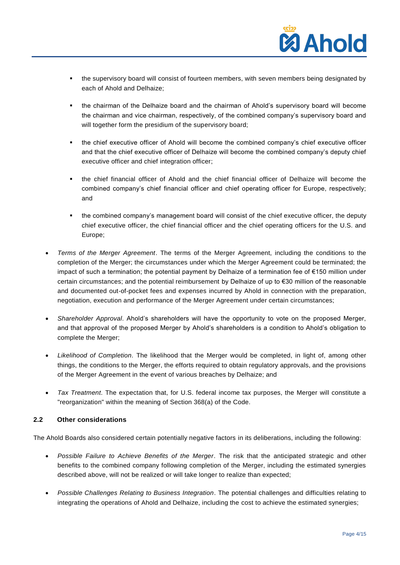

- the supervisory board will consist of fourteen members, with seven members being designated by each of Ahold and Delhaize;
- the chairman of the Delhaize board and the chairman of Ahold's supervisory board will become the chairman and vice chairman, respectively, of the combined company's supervisory board and will together form the presidium of the supervisory board;
- the chief executive officer of Ahold will become the combined company's chief executive officer and that the chief executive officer of Delhaize will become the combined company's deputy chief executive officer and chief integration officer;
- the chief financial officer of Ahold and the chief financial officer of Delhaize will become the combined company's chief financial officer and chief operating officer for Europe, respectively; and
- the combined company's management board will consist of the chief executive officer, the deputy chief executive officer, the chief financial officer and the chief operating officers for the U.S. and Europe;
- *Terms of the Merger Agreement*. The terms of the Merger Agreement, including the conditions to the completion of the Merger; the circumstances under which the Merger Agreement could be terminated; the impact of such a termination; the potential payment by Delhaize of a termination fee of €150 million under certain circumstances; and the potential reimbursement by Delhaize of up to €30 million of the reasonable and documented out-of-pocket fees and expenses incurred by Ahold in connection with the preparation, negotiation, execution and performance of the Merger Agreement under certain circumstances;
- *Shareholder Approval*. Ahold's shareholders will have the opportunity to vote on the proposed Merger, and that approval of the proposed Merger by Ahold's shareholders is a condition to Ahold's obligation to complete the Merger;
- *Likelihood of Completion*. The likelihood that the Merger would be completed, in light of, among other things, the conditions to the Merger, the efforts required to obtain regulatory approvals, and the provisions of the Merger Agreement in the event of various breaches by Delhaize; and
- *Tax Treatment*. The expectation that, for U.S. federal income tax purposes, the Merger will constitute a "reorganization" within the meaning of Section 368(a) of the Code.

# **2.2 Other considerations**

The Ahold Boards also considered certain potentially negative factors in its deliberations, including the following:

- *Possible Failure to Achieve Benefits of the Merger*. The risk that the anticipated strategic and other benefits to the combined company following completion of the Merger, including the estimated synergies described above, will not be realized or will take longer to realize than expected;
- *Possible Challenges Relating to Business Integration*. The potential challenges and difficulties relating to integrating the operations of Ahold and Delhaize, including the cost to achieve the estimated synergies;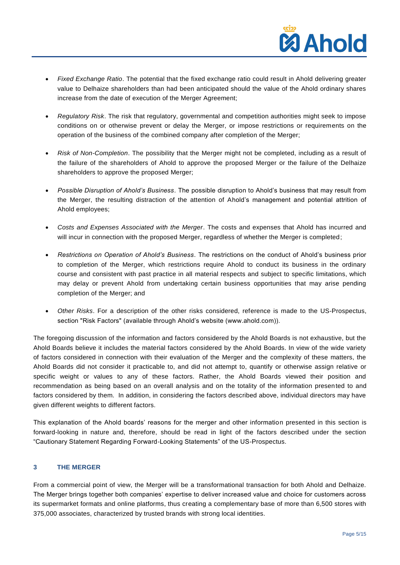

- *Fixed Exchange Ratio*. The potential that the fixed exchange ratio could result in Ahold delivering greater value to Delhaize shareholders than had been anticipated should the value of the Ahold ordinary shares increase from the date of execution of the Merger Agreement;
- *Regulatory Risk*. The risk that regulatory, governmental and competition authorities might seek to impose conditions on or otherwise prevent or delay the Merger, or impose restrictions or requirements on the operation of the business of the combined company after completion of the Merger;
- *Risk of Non-Completion*. The possibility that the Merger might not be completed, including as a result of the failure of the shareholders of Ahold to approve the proposed Merger or the failure of the Delhaize shareholders to approve the proposed Merger;
- *Possible Disruption of Ahold's Business*. The possible disruption to Ahold's business that may result from the Merger, the resulting distraction of the attention of Ahold's management and potential attrition of Ahold employees;
- *Costs and Expenses Associated with the Merger*. The costs and expenses that Ahold has incurred and will incur in connection with the proposed Merger, regardless of whether the Merger is completed;
- *Restrictions on Operation of Ahold's Business*. The restrictions on the conduct of Ahold's business prior to completion of the Merger, which restrictions require Ahold to conduct its business in the ordinary course and consistent with past practice in all material respects and subject to specific limitations, which may delay or prevent Ahold from undertaking certain business opportunities that may arise pending completion of the Merger; and
- *Other Risks*. For a description of the other risks considered, reference is made to the US-Prospectus, section "Risk Factors" (available through Ahold's website (www.ahold.com)).

The foregoing discussion of the information and factors considered by the Ahold Boards is not exhaustive, but the Ahold Boards believe it includes the material factors considered by the Ahold Boards. In view of the wide variety of factors considered in connection with their evaluation of the Merger and the complexity of these matters, the Ahold Boards did not consider it practicable to, and did not attempt to, quantify or otherwise assign relative or specific weight or values to any of these factors. Rather, the Ahold Boards viewed their position and recommendation as being based on an overall analysis and on the totality of the information presented to and factors considered by them. In addition, in considering the factors described above, individual directors may have given different weights to different factors.

This explanation of the Ahold boards' reasons for the merger and other information presented in this section is forward-looking in nature and, therefore, should be read in light of the factors described under the section "Cautionary Statement Regarding Forward-Looking Statements" of the US-Prospectus.

## **3 THE MERGER**

From a commercial point of view, the Merger will be a transformational transaction for both Ahold and Delhaize. The Merger brings together both companies' expertise to deliver increased value and choice for customers across its supermarket formats and online platforms, thus creating a complementary base of more than 6,500 stores with 375,000 associates, characterized by trusted brands with strong local identities.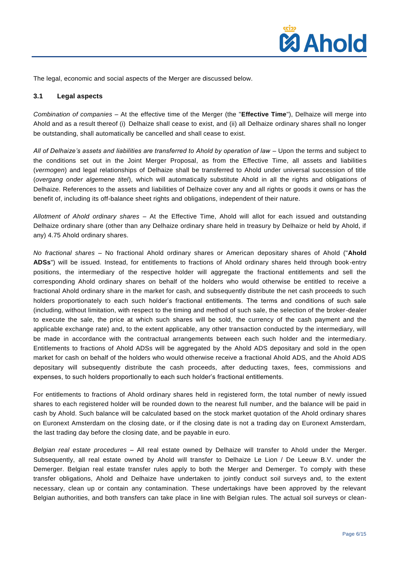

The legal, economic and social aspects of the Merger are discussed below.

## **3.1 Legal aspects**

*Combination of companies –* At the effective time of the Merger (the "**Effective Time**"), Delhaize will merge into Ahold and as a result thereof (i) Delhaize shall cease to exist, and (ii) all Delhaize ordinary shares shall no longer be outstanding, shall automatically be cancelled and shall cease to exist.

*All of Delhaize's assets and liabilities are transferred to Ahold by operation of law –* Upon the terms and subject to the conditions set out in the Joint Merger Proposal, as from the Effective Time, all assets and liabilities (*vermogen*) and legal relationships of Delhaize shall be transferred to Ahold under universal succession of title (*overgang onder algemene titel*), which will automatically substitute Ahold in all the rights and obligations of Delhaize. References to the assets and liabilities of Delhaize cover any and all rights or goods it owns or has the benefit of, including its off-balance sheet rights and obligations, independent of their nature.

*Allotment of Ahold ordinary shares –* At the Effective Time, Ahold will allot for each issued and outstanding Delhaize ordinary share (other than any Delhaize ordinary share held in treasury by Delhaize or held by Ahold, if any) 4.75 Ahold ordinary shares.

*No fractional shares –* No fractional Ahold ordinary shares or American depositary shares of Ahold ("**Ahold ADSs**") will be issued. Instead, for entitlements to fractions of Ahold ordinary shares held through book-entry positions, the intermediary of the respective holder will aggregate the fractional entitlements and sell the corresponding Ahold ordinary shares on behalf of the holders who would otherwise be entitled to receive a fractional Ahold ordinary share in the market for cash, and subsequently distribute the net cash proceeds to such holders proportionately to each such holder's fractional entitlements. The terms and conditions of such sale (including, without limitation, with respect to the timing and method of such sale, the selection of the broker-dealer to execute the sale, the price at which such shares will be sold, the currency of the cash payment and the applicable exchange rate) and, to the extent applicable, any other transaction conducted by the intermediary, will be made in accordance with the contractual arrangements between each such holder and the intermediary. Entitlements to fractions of Ahold ADSs will be aggregated by the Ahold ADS depositary and sold in the open market for cash on behalf of the holders who would otherwise receive a fractional Ahold ADS, and the Ahold ADS depositary will subsequently distribute the cash proceeds, after deducting taxes, fees, commissions and expenses, to such holders proportionally to each such holder's fractional entitlements.

For entitlements to fractions of Ahold ordinary shares held in registered form, the total number of newly issued shares to each registered holder will be rounded down to the nearest full number, and the balance will be paid in cash by Ahold. Such balance will be calculated based on the stock market quotation of the Ahold ordinary shares on Euronext Amsterdam on the closing date, or if the closing date is not a trading day on Euronext Amsterdam, the last trading day before the closing date, and be payable in euro.

*Belgian real estate procedures –* All real estate owned by Delhaize will transfer to Ahold under the Merger. Subsequently, all real estate owned by Ahold will transfer to Delhaize Le Lion / De Leeuw B.V. under the Demerger. Belgian real estate transfer rules apply to both the Merger and Demerger. To comply with these transfer obligations, Ahold and Delhaize have undertaken to jointly conduct soil surveys and, to the extent necessary, clean up or contain any contamination. These undertakings have been approved by the relevant Belgian authorities, and both transfers can take place in line with Belgian rules. The actual soil surveys or clean-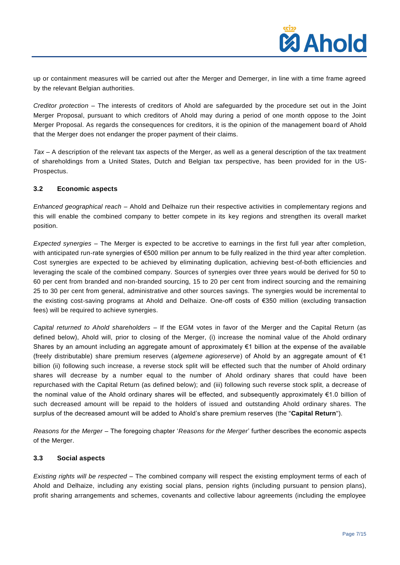

up or containment measures will be carried out after the Merger and Demerger, in line with a time frame agreed by the relevant Belgian authorities.

*Creditor protection –* The interests of creditors of Ahold are safeguarded by the procedure set out in the Joint Merger Proposal, pursuant to which creditors of Ahold may during a period of one month oppose to the Joint Merger Proposal. As regards the consequences for creditors, it is the opinion of the management board of Ahold that the Merger does not endanger the proper payment of their claims.

*Tax –* A description of the relevant tax aspects of the Merger, as well as a general description of the tax treatment of shareholdings from a United States, Dutch and Belgian tax perspective, has been provided for in the US-Prospectus.

## **3.2 Economic aspects**

*Enhanced geographical reach* – Ahold and Delhaize run their respective activities in complementary regions and this will enable the combined company to better compete in its key regions and strengthen its overall market position.

*Expected synergies –* The Merger is expected to be accretive to earnings in the first full year after completion, with anticipated run-rate synergies of €500 million per annum to be fully realized in the third year after completion. Cost synergies are expected to be achieved by eliminating duplication, achieving best-of-both efficiencies and leveraging the scale of the combined company. Sources of synergies over three years would be derived for 50 to 60 per cent from branded and non-branded sourcing, 15 to 20 per cent from indirect sourcing and the remaining 25 to 30 per cent from general, administrative and other sources savings. The synergies would be incremental to the existing cost-saving programs at Ahold and Delhaize. One-off costs of €350 million (excluding transaction fees) will be required to achieve synergies.

*Capital returned to Ahold shareholders –* If the EGM votes in favor of the Merger and the Capital Return (as defined below), Ahold will, prior to closing of the Merger, (i) increase the nominal value of the Ahold ordinary Shares by an amount including an aggregate amount of approximately €1 billion at the expense of the available (freely distributable) share premium reserves (*algemene agioreserve*) of Ahold by an aggregate amount of €1 billion (ii) following such increase, a reverse stock split will be effected such that the number of Ahold ordinary shares will decrease by a number equal to the number of Ahold ordinary shares that could have been repurchased with the Capital Return (as defined below); and (iii) following such reverse stock split, a decrease of the nominal value of the Ahold ordinary shares will be effected, and subsequently approximately €1.0 billion of such decreased amount will be repaid to the holders of issued and outstanding Ahold ordinary shares. The surplus of the decreased amount will be added to Ahold's share premium reserves (the "**Capital Return**").

*Reasons for the Merger* – The foregoing chapter '*Reasons for the Merger*' further describes the economic aspects of the Merger.

#### **3.3 Social aspects**

*Existing rights will be respected –* The combined company will respect the existing employment terms of each of Ahold and Delhaize, including any existing social plans, pension rights (including pursuant to pension plans), profit sharing arrangements and schemes, covenants and collective labour agreements (including the employee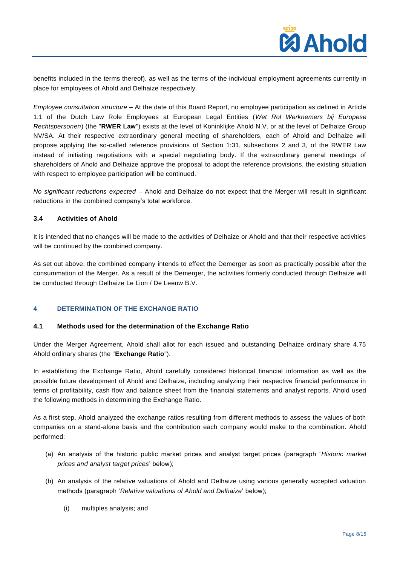

benefits included in the terms thereof), as well as the terms of the individual employment agreements currently in place for employees of Ahold and Delhaize respectively.

*Employee consultation structure –* At the date of this Board Report, no employee participation as defined in Article 1:1 of the Dutch Law Role Employees at European Legal Entities (*Wet Rol Werknemers bij Europese Rechtspersonen*) (the "**RWER Law**") exists at the level of Koninklijke Ahold N.V. or at the level of Delhaize Group NV/SA. At their respective extraordinary general meeting of shareholders, each of Ahold and Delhaize will propose applying the so-called reference provisions of Section 1:31, subsections 2 and 3, of the RWER Law instead of initiating negotiations with a special negotiating body. If the extraordinary general meetings of shareholders of Ahold and Delhaize approve the proposal to adopt the reference provisions, the existing situation with respect to employee participation will be continued.

*No significant reductions expected –* Ahold and Delhaize do not expect that the Merger will result in significant reductions in the combined company's total workforce.

## **3.4 Activities of Ahold**

It is intended that no changes will be made to the activities of Delhaize or Ahold and that their respective activities will be continued by the combined company.

As set out above, the combined company intends to effect the Demerger as soon as practically possible after the consummation of the Merger. As a result of the Demerger, the activities formerly conducted through Delhaize will be conducted through Delhaize Le Lion / De Leeuw B.V.

## **4 DETERMINATION OF THE EXCHANGE RATIO**

#### **4.1 Methods used for the determination of the Exchange Ratio**

Under the Merger Agreement, Ahold shall allot for each issued and outstanding Delhaize ordinary share 4.75 Ahold ordinary shares (the "**Exchange Ratio**").

In establishing the Exchange Ratio, Ahold carefully considered historical financial information as well as the possible future development of Ahold and Delhaize, including analyzing their respective financial performance in terms of profitability, cash flow and balance sheet from the financial statements and analyst reports. Ahold used the following methods in determining the Exchange Ratio.

As a first step, Ahold analyzed the exchange ratios resulting from different methods to assess the values of both companies on a stand-alone basis and the contribution each company would make to the combination. Ahold performed:

- (a) An analysis of the historic public market prices and analyst target prices (paragraph '*Historic market prices and analyst target prices*' below);
- (b) An analysis of the relative valuations of Ahold and Delhaize using various generally accepted valuation methods (paragraph '*Relative valuations of Ahold and Delhaize*' below);
	- (i) multiples analysis; and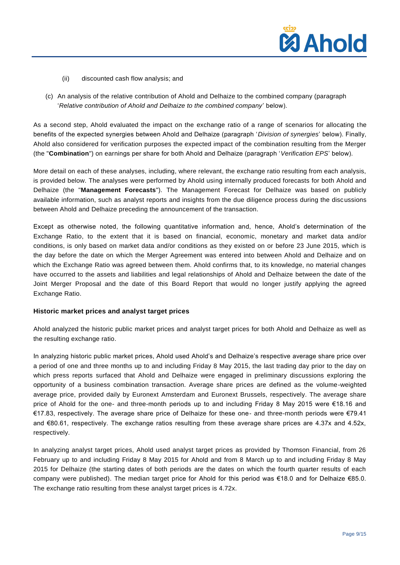

- (ii) discounted cash flow analysis; and
- (c) An analysis of the relative contribution of Ahold and Delhaize to the combined company (paragraph '*Relative contribution of Ahold and Delhaize to the combined company*' below).

As a second step, Ahold evaluated the impact on the exchange ratio of a range of scenarios for allocating the benefits of the expected synergies between Ahold and Delhaize (paragraph '*Division of synergies*' below). Finally, Ahold also considered for verification purposes the expected impact of the combination resulting from the Merger (the "**Combination**") on earnings per share for both Ahold and Delhaize (paragraph '*Verification EPS*' below).

More detail on each of these analyses, including, where relevant, the exchange ratio resulting from each analysis, is provided below. The analyses were performed by Ahold using internally produced forecasts for both Ahold and Delhaize (the "**Management Forecasts**"). The Management Forecast for Delhaize was based on publicly available information, such as analyst reports and insights from the due diligence process during the discussions between Ahold and Delhaize preceding the announcement of the transaction.

Except as otherwise noted, the following quantitative information and, hence, Ahold's determination of the Exchange Ratio, to the extent that it is based on financial, economic, monetary and market data and/or conditions, is only based on market data and/or conditions as they existed on or before 23 June 2015, which is the day before the date on which the Merger Agreement was entered into between Ahold and Delhaize and on which the Exchange Ratio was agreed between them. Ahold confirms that, to its knowledge, no material changes have occurred to the assets and liabilities and legal relationships of Ahold and Delhaize between the date of the Joint Merger Proposal and the date of this Board Report that would no longer justify applying the agreed Exchange Ratio.

#### **Historic market prices and analyst target prices**

Ahold analyzed the historic public market prices and analyst target prices for both Ahold and Delhaize as well as the resulting exchange ratio.

In analyzing historic public market prices, Ahold used Ahold's and Delhaize's respective average share price over a period of one and three months up to and including Friday 8 May 2015, the last trading day prior to the day on which press reports surfaced that Ahold and Delhaize were engaged in preliminary discussions exploring the opportunity of a business combination transaction. Average share prices are defined as the volume-weighted average price, provided daily by Euronext Amsterdam and Euronext Brussels, respectively. The average share price of Ahold for the one- and three-month periods up to and including Friday 8 May 2015 were €18.16 and €17.83, respectively. The average share price of Delhaize for these one- and three-month periods were €79.41 and €80.61, respectively. The exchange ratios resulting from these average share prices are 4.37x and 4.52x, respectively.

In analyzing analyst target prices, Ahold used analyst target prices as provided by Thomson Financial, from 26 February up to and including Friday 8 May 2015 for Ahold and from 8 March up to and including Friday 8 May 2015 for Delhaize (the starting dates of both periods are the dates on which the fourth quarter results of each company were published). The median target price for Ahold for this period was €18.0 and for Delhaize €85.0. The exchange ratio resulting from these analyst target prices is 4.72x.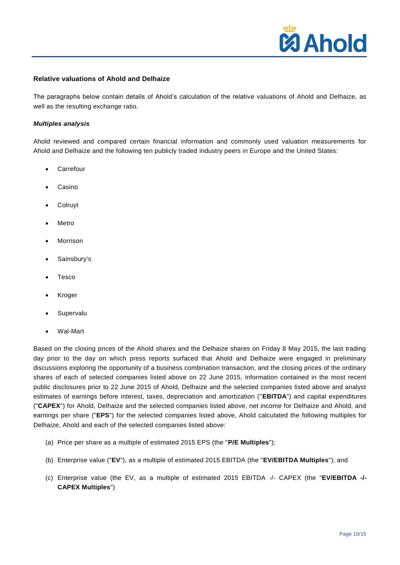

## **Relative valuations of Ahold and Delhaize**

The paragraphs below contain details of Ahold's calculation of the relative valuations of Ahold and Delhaize, as well as the resulting exchange ratio.

#### *Multiples analysis*

Ahold reviewed and compared certain financial information and commonly used valuation measurements for Ahold and Delhaize and the following ten publicly traded industry peers in Europe and the United States:

- Carrefour
- Casino
- Colruyt
- Metro
- Morrison
- Sainsbury's
- Tesco
- Kroger
- Supervalu
- Wal-Mart

Based on the closing prices of the Ahold shares and the Delhaize shares on Friday 8 May 2015, the last trading day prior to the day on which press reports surfaced that Ahold and Delhaize were engaged in preliminary discussions exploring the opportunity of a business combination transaction, and the closing prices of the ordinary shares of each of selected companies listed above on 22 June 2015, information contained in the most recent public disclosures prior to 22 June 2015 of Ahold, Delhaize and the selected companies listed above and analyst estimates of earnings before interest, taxes, depreciation and amortization ("**EBITDA**") and capital expenditures ("**CAPEX**") for Ahold, Delhaize and the selected companies listed above, net income for Delhaize and Ahold, and earnings per share ("**EPS**") for the selected companies listed above, Ahold calculated the following multiples for Delhaize, Ahold and each of the selected companies listed above:

- (a) Price per share as a multiple of estimated 2015 EPS (the "**P/E Multiples**");
- (b) Enterprise value ("**EV**"), as a multiple of estimated 2015 EBITDA (the "**EV/EBITDA Multiples**"); and
- (c) Enterprise value (the EV, as a multiple of estimated 2015 EBITDA -/- CAPEX (the "**EV/EBITDA -/- CAPEX Multiples**")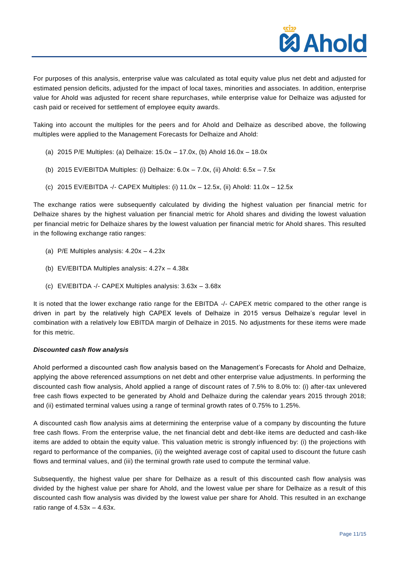

For purposes of this analysis, enterprise value was calculated as total equity value plus net debt and adjusted for estimated pension deficits, adjusted for the impact of local taxes, minorities and associates. In addition, enterprise value for Ahold was adjusted for recent share repurchases, while enterprise value for Delhaize was adjusted for cash paid or received for settlement of employee equity awards.

Taking into account the multiples for the peers and for Ahold and Delhaize as described above, the following multiples were applied to the Management Forecasts for Delhaize and Ahold:

- (a) 2015 P/E Multiples: (a) Delhaize: 15.0x 17.0x, (b) Ahold 16.0x 18.0x
- (b) 2015 EV/EBITDA Multiples: (i) Delhaize:  $6.0x 7.0x$ , (ii) Ahold:  $6.5x 7.5x$
- (c) 2015 EV/EBITDA -/- CAPEX Multiples: (i) 11.0x 12.5x, (ii) Ahold: 11.0x 12.5x

The exchange ratios were subsequently calculated by dividing the highest valuation per financial metric for Delhaize shares by the highest valuation per financial metric for Ahold shares and dividing the lowest valuation per financial metric for Delhaize shares by the lowest valuation per financial metric for Ahold shares. This resulted in the following exchange ratio ranges:

- (a) P/E Multiples analysis: 4.20x 4.23x
- (b) EV/EBITDA Multiples analysis: 4.27x 4.38x
- (c) EV/EBITDA -/- CAPEX Multiples analysis: 3.63x 3.68x

It is noted that the lower exchange ratio range for the EBITDA -/- CAPEX metric compared to the other range is driven in part by the relatively high CAPEX levels of Delhaize in 2015 versus Delhaize's regular level in combination with a relatively low EBITDA margin of Delhaize in 2015. No adjustments for these items were made for this metric.

#### *Discounted cash flow analysis*

Ahold performed a discounted cash flow analysis based on the Management's Forecasts for Ahold and Delhaize, applying the above referenced assumptions on net debt and other enterprise value adjustments. In performing the discounted cash flow analysis, Ahold applied a range of discount rates of 7.5% to 8.0% to: (i) after-tax unlevered free cash flows expected to be generated by Ahold and Delhaize during the calendar years 2015 through 2018; and (ii) estimated terminal values using a range of terminal growth rates of 0.75% to 1.25%.

A discounted cash flow analysis aims at determining the enterprise value of a company by discounting the future free cash flows. From the enterprise value, the net financial debt and debt-like items are deducted and cash-like items are added to obtain the equity value. This valuation metric is strongly influenced by: (i) the projections with regard to performance of the companies, (ii) the weighted average cost of capital used to discount the future cash flows and terminal values, and (iii) the terminal growth rate used to compute the terminal value.

Subsequently, the highest value per share for Delhaize as a result of this discounted cash flow analysis was divided by the highest value per share for Ahold, and the lowest value per share for Delhaize as a result of this discounted cash flow analysis was divided by the lowest value per share for Ahold. This resulted in an exchange ratio range of  $4.53x - 4.63x$ .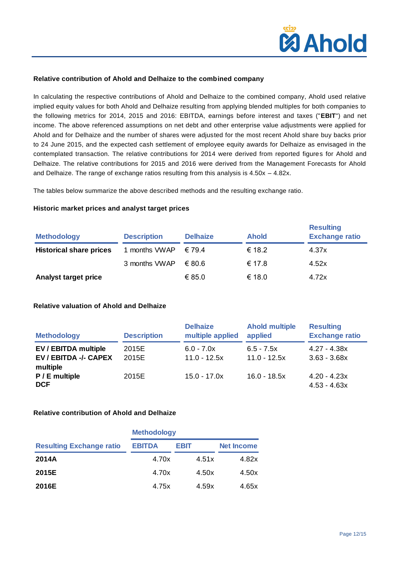

## **Relative contribution of Ahold and Delhaize to the combined company**

In calculating the respective contributions of Ahold and Delhaize to the combined company, Ahold used relative implied equity values for both Ahold and Delhaize resulting from applying blended multiples for both companies to the following metrics for 2014, 2015 and 2016: EBITDA, earnings before interest and taxes ("**EBIT**") and net income. The above referenced assumptions on net debt and other enterprise value adjustments were applied for Ahold and for Delhaize and the number of shares were adjusted for the most recent Ahold share buy backs prior to 24 June 2015, and the expected cash settlement of employee equity awards for Delhaize as envisaged in the contemplated transaction. The relative contributions for 2014 were derived from reported figures for Ahold and Delhaize. The relative contributions for 2015 and 2016 were derived from the Management Forecasts for Ahold and Delhaize. The range of exchange ratios resulting from this analysis is  $4.50x - 4.82x$ .

The tables below summarize the above described methods and the resulting exchange ratio.

#### **Historic market prices and analyst target prices**

| <b>Methodology</b>             | <b>Description</b> | <b>Delhaize</b> | <b>Ahold</b> | <b>Resulting</b><br><b>Exchange ratio</b> |
|--------------------------------|--------------------|-----------------|--------------|-------------------------------------------|
| <b>Historical share prices</b> | 1 months VWAP      | $\epsilon$ 79.4 | € 18.2       | 4.37x                                     |
|                                | 3 months VWAP      | €80.6           | € 17.8       | 4.52x                                     |
| <b>Analyst target price</b>    |                    | € 85.0          | € 18.0       | 4.72x                                     |

# **Relative valuation of Ahold and Delhaize**

| <b>Methodology</b>                                               | <b>Description</b> | <b>Delhaize</b><br>multiple applied | <b>Ahold multiple</b><br>applied | <b>Resulting</b><br><b>Exchange ratio</b> |
|------------------------------------------------------------------|--------------------|-------------------------------------|----------------------------------|-------------------------------------------|
| <b>EV / EBITDA multiple</b><br>EV / EBITDA -/- CAPEX<br>multiple | 2015E<br>2015E     | $6.0 - 7.0x$<br>$11.0 - 12.5x$      | $6.5 - 7.5x$<br>$11.0 - 12.5x$   | 4.27 - 4.38x<br>$3.63 - 3.68x$            |
| P / E multiple<br><b>DCF</b>                                     | 2015E              | $15.0 - 17.0x$                      | $16.0 - 18.5x$                   | $4.20 - 4.23x$<br>$4.53 - 4.63x$          |

# **Relative contribution of Ahold and Delhaize**

|                                 | <b>Methodology</b> |       |            |  |
|---------------------------------|--------------------|-------|------------|--|
| <b>Resulting Exchange ratio</b> | <b>EBITDA</b>      | EBIT  | Net Income |  |
| 2014A                           | 4.70x              | 4.51x | 4.82x      |  |
| 2015E                           | 4.70x              | 4.50x | 4.50x      |  |
| 2016E                           | 4.75x              | 4.59x | 4.65x      |  |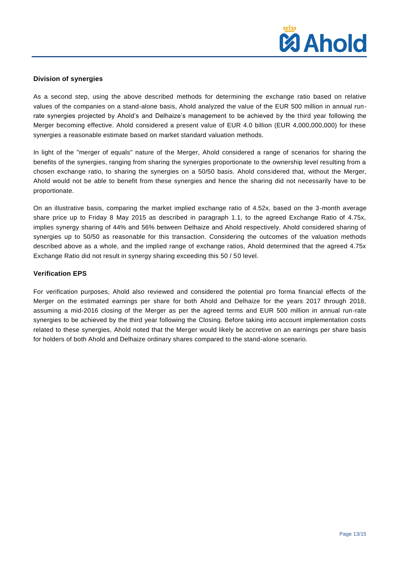

## **Division of synergies**

As a second step, using the above described methods for determining the exchange ratio based on relative values of the companies on a stand-alone basis, Ahold analyzed the value of the EUR 500 million in annual runrate synergies projected by Ahold's and Delhaize's management to be achieved by the third year following the Merger becoming effective. Ahold considered a present value of EUR 4.0 billion (EUR 4,000,000,000) for these synergies a reasonable estimate based on market standard valuation methods.

In light of the "merger of equals" nature of the Merger, Ahold considered a range of scenarios for sharing the benefits of the synergies, ranging from sharing the synergies proportionate to the ownership level resulting from a chosen exchange ratio, to sharing the synergies on a 50/50 basis. Ahold considered that, without the Merger, Ahold would not be able to benefit from these synergies and hence the sharing did not necessarily have to be proportionate.

On an illustrative basis, comparing the market implied exchange ratio of 4.52x, based on the 3-month average share price up to Friday 8 May 2015 as described in paragraph 1.1, to the agreed Exchange Ratio of 4.75x, implies synergy sharing of 44% and 56% between Delhaize and Ahold respectively. Ahold considered sharing of synergies up to 50/50 as reasonable for this transaction. Considering the outcomes of the valuation methods described above as a whole, and the implied range of exchange ratios, Ahold determined that the agreed 4.75x Exchange Ratio did not result in synergy sharing exceeding this 50 / 50 level.

## **Verification EPS**

For verification purposes, Ahold also reviewed and considered the potential pro forma financial effects of the Merger on the estimated earnings per share for both Ahold and Delhaize for the years 2017 through 2018, assuming a mid-2016 closing of the Merger as per the agreed terms and EUR 500 million in annual run-rate synergies to be achieved by the third year following the Closing. Before taking into account implementation costs related to these synergies, Ahold noted that the Merger would likely be accretive on an earnings per share basis for holders of both Ahold and Delhaize ordinary shares compared to the stand-alone scenario.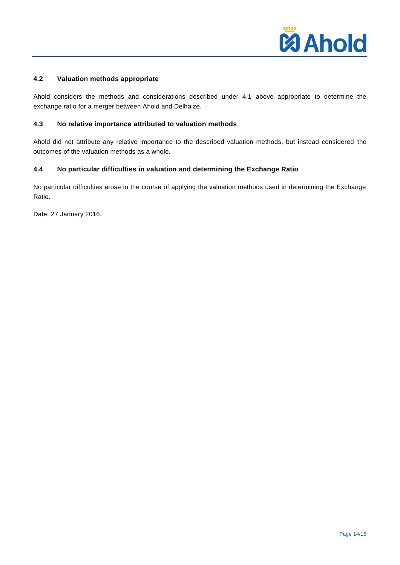

# **4.2 Valuation methods appropriate**

Ahold considers the methods and considerations described under 4.1 above appropriate to determine the exchange ratio for a merger between Ahold and Delhaize.

# **4.3 No relative importance attributed to valuation methods**

Ahold did not attribute any relative importance to the described valuation methods, but instead considered the outcomes of the valuation methods as a whole.

#### **4.4 No particular difficulties in valuation and determining the Exchange Ratio**

No particular difficulties arose in the course of applying the valuation methods used in determining the Exchange Ratio.

Date: 27 January 2016.